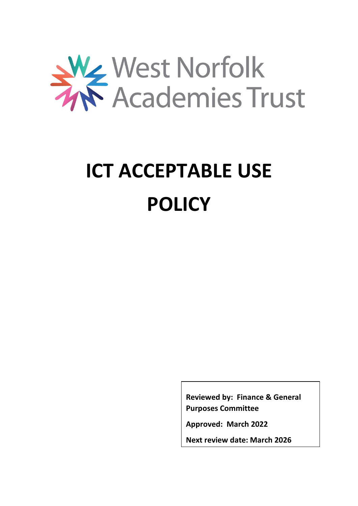

# **ICT ACCEPTABLE USE POLICY**

**Reviewed by: Finance & General Purposes Committee**

**Approved: March 2022**

**Next review date: March 2026**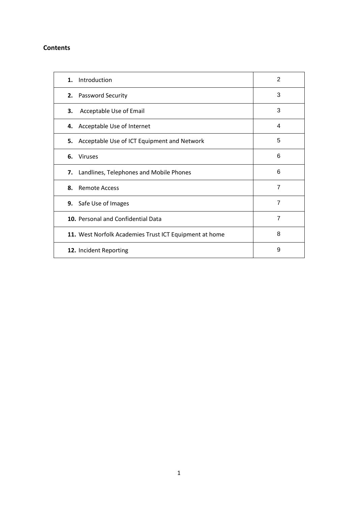# **Contents**

| Introduction<br>1.                                     | 2              |
|--------------------------------------------------------|----------------|
| 2. Password Security                                   | 3              |
| Acceptable Use of Email<br>З.                          | 3              |
| 4. Acceptable Use of Internet                          | 4              |
| 5. Acceptable Use of ICT Equipment and Network         | 5              |
| 6. Viruses                                             | 6              |
| Landlines, Telephones and Mobile Phones<br>7.          | 6              |
| 8.<br><b>Remote Access</b>                             | $\overline{7}$ |
| 9. Safe Use of Images                                  | $\overline{7}$ |
| 10. Personal and Confidential Data                     | $\overline{7}$ |
| 11. West Norfolk Academies Trust ICT Equipment at home | 8              |
| 12. Incident Reporting                                 | 9              |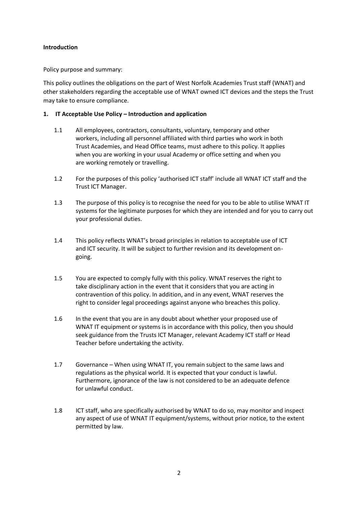## **Introduction**

Policy purpose and summary:

This policy outlines the obligations on the part of West Norfolk Academies Trust staff (WNAT) and other stakeholders regarding the acceptable use of WNAT owned ICT devices and the steps the Trust may take to ensure compliance.

# **1. IT Acceptable Use Policy – Introduction and application**

- 1.1 All employees, contractors, consultants, voluntary, temporary and other workers, including all personnel affiliated with third parties who work in both Trust Academies, and Head Office teams, must adhere to this policy. It applies when you are working in your usual Academy or office setting and when you are working remotely or travelling.
- 1.2 For the purposes of this policy 'authorised ICT staff' include all WNAT ICT staff and the Trust ICT Manager.
- 1.3 The purpose of this policy is to recognise the need for you to be able to utilise WNAT IT systems for the legitimate purposes for which they are intended and for you to carry out your professional duties.
- 1.4 This policy reflects WNAT's broad principles in relation to acceptable use of ICT and ICT security. It will be subject to further revision and its development ongoing.
- 1.5 You are expected to comply fully with this policy. WNAT reserves the right to take disciplinary action in the event that it considers that you are acting in contravention of this policy. In addition, and in any event, WNAT reserves the right to consider legal proceedings against anyone who breaches this policy.
- 1.6 In the event that you are in any doubt about whether your proposed use of WNAT IT equipment or systems is in accordance with this policy, then you should seek guidance from the Trusts ICT Manager, relevant Academy ICT staff or Head Teacher before undertaking the activity.
- 1.7 Governance When using WNAT IT, you remain subject to the same laws and regulations as the physical world. It is expected that your conduct is lawful. Furthermore, ignorance of the law is not considered to be an adequate defence for unlawful conduct.
- 1.8 ICT staff, who are specifically authorised by WNAT to do so, may monitor and inspect any aspect of use of WNAT IT equipment/systems, without prior notice, to the extent permitted by law.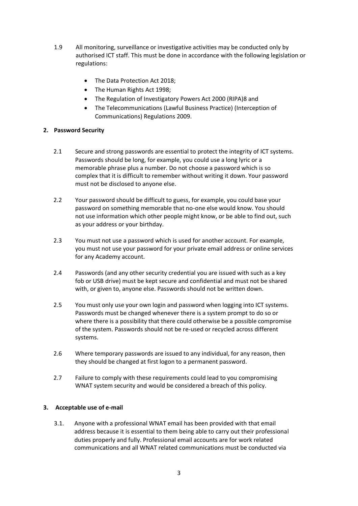- 1.9 All monitoring, surveillance or investigative activities may be conducted only by authorised ICT staff. This must be done in accordance with the following legislation or regulations:
	- The Data Protection Act 2018;
	- The Human Rights Act 1998;
	- The Regulation of Investigatory Powers Act 2000 (RIPA)8 and
	- The Telecommunications (Lawful Business Practice) (Interception of Communications) Regulations 2009.

# **2. Password Security**

- 2.1 Secure and strong passwords are essential to protect the integrity of ICT systems. Passwords should be long, for example, you could use a long lyric or a memorable phrase plus a number. Do not choose a password which is so complex that it is difficult to remember without writing it down. Your password must not be disclosed to anyone else.
- 2.2 Your password should be difficult to guess, for example, you could base your password on something memorable that no-one else would know. You should not use information which other people might know, or be able to find out, such as your address or your birthday.
- 2.3 You must not use a password which is used for another account. For example, you must not use your password for your private email address or online services for any Academy account.
- 2.4 Passwords (and any other security credential you are issued with such as a key fob or USB drive) must be kept secure and confidential and must not be shared with, or given to, anyone else. Passwords should not be written down.
- 2.5 You must only use your own login and password when logging into ICT systems. Passwords must be changed whenever there is a system prompt to do so or where there is a possibility that there could otherwise be a possible compromise of the system. Passwords should not be re-used or recycled across different systems.
- 2.6 Where temporary passwords are issued to any individual, for any reason, then they should be changed at first logon to a permanent password.
- 2.7 Failure to comply with these requirements could lead to you compromising WNAT system security and would be considered a breach of this policy.

# **3. Acceptable use of e-mail**

3.1. Anyone with a professional WNAT email has been provided with that email address because it is essential to them being able to carry out their professional duties properly and fully. Professional email accounts are for work related communications and all WNAT related communications must be conducted via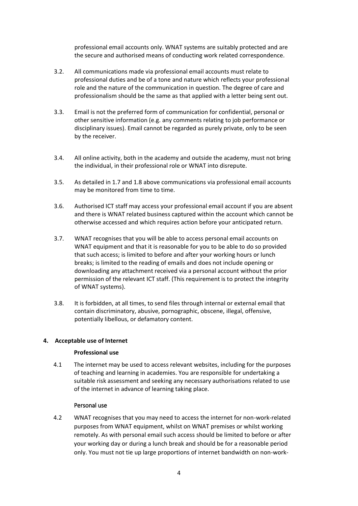professional email accounts only. WNAT systems are suitably protected and are the secure and authorised means of conducting work related correspondence.

- 3.2. All communications made via professional email accounts must relate to professional duties and be of a tone and nature which reflects your professional role and the nature of the communication in question. The degree of care and professionalism should be the same as that applied with a letter being sent out.
- 3.3. Email is not the preferred form of communication for confidential, personal or other sensitive information (e.g. any comments relating to job performance or disciplinary issues). Email cannot be regarded as purely private, only to be seen by the receiver.
- 3.4. All online activity, both in the academy and outside the academy, must not bring the individual, in their professional role or WNAT into disrepute.
- 3.5. As detailed in 1.7 and 1.8 above communications via professional email accounts may be monitored from time to time.
- 3.6. Authorised ICT staff may access your professional email account if you are absent and there is WNAT related business captured within the account which cannot be otherwise accessed and which requires action before your anticipated return.
- 3.7. WNAT recognises that you will be able to access personal email accounts on WNAT equipment and that it is reasonable for you to be able to do so provided that such access; is limited to before and after your working hours or lunch breaks; is limited to the reading of emails and does not include opening or downloading any attachment received via a personal account without the prior permission of the relevant ICT staff. (This requirement is to protect the integrity of WNAT systems).
- 3.8. It is forbidden, at all times, to send files through internal or external email that contain discriminatory, abusive, pornographic, obscene, illegal, offensive, potentially libellous, or defamatory content.

### **4. Acceptable use of Internet**

### **Professional use**

4.1 The internet may be used to access relevant websites, including for the purposes of teaching and learning in academies. You are responsible for undertaking a suitable risk assessment and seeking any necessary authorisations related to use of the internet in advance of learning taking place.

# Personal use

4.2 WNAT recognises that you may need to access the internet for non-work-related purposes from WNAT equipment, whilst on WNAT premises or whilst working remotely. As with personal email such access should be limited to before or after your working day or during a lunch break and should be for a reasonable period only. You must not tie up large proportions of internet bandwidth on non-work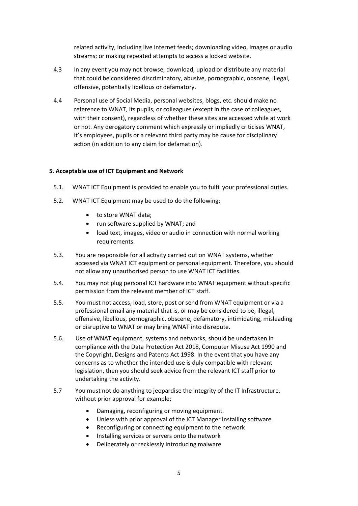related activity, including live internet feeds; downloading video, images or audio streams; or making repeated attempts to access a locked website.

- 4.3 In any event you may not browse, download, upload or distribute any material that could be considered discriminatory, abusive, pornographic, obscene, illegal, offensive, potentially libellous or defamatory.
- 4.4 Personal use of Social Media, personal websites, blogs, etc. should make no reference to WNAT, its pupils, or colleagues (except in the case of colleagues, with their consent), regardless of whether these sites are accessed while at work or not. Any derogatory comment which expressly or impliedly criticises WNAT, it's employees, pupils or a relevant third party may be cause for disciplinary action (in addition to any claim for defamation).

# **5**. **Acceptable use of ICT Equipment and Network**

- 5.1. WNAT ICT Equipment is provided to enable you to fulfil your professional duties.
- 5.2. WNAT ICT Equipment may be used to do the following:
	- to store WNAT data:
	- run software supplied by WNAT; and
	- load text, images, video or audio in connection with normal working requirements.
- 5.3. You are responsible for all activity carried out on WNAT systems, whether accessed via WNAT ICT equipment or personal equipment. Therefore, you should not allow any unauthorised person to use WNAT ICT facilities.
- 5.4. You may not plug personal ICT hardware into WNAT equipment without specific permission from the relevant member of ICT staff.
- 5.5. You must not access, load, store, post or send from WNAT equipment or via a professional email any material that is, or may be considered to be, illegal, offensive, libellous, pornographic, obscene, defamatory, intimidating, misleading or disruptive to WNAT or may bring WNAT into disrepute.
- 5.6. Use of WNAT equipment, systems and networks, should be undertaken in compliance with the Data Protection Act 2018, Computer Misuse Act 1990 and the Copyright, Designs and Patents Act 1998. In the event that you have any concerns as to whether the intended use is duly compatible with relevant legislation, then you should seek advice from the relevant ICT staff prior to undertaking the activity.
- 5.7 You must not do anything to jeopardise the integrity of the IT Infrastructure, without prior approval for example;
	- Damaging, reconfiguring or moving equipment.
	- Unless with prior approval of the ICT Manager installing software
	- Reconfiguring or connecting equipment to the network
	- Installing services or servers onto the network
	- Deliberately or recklessly introducing malware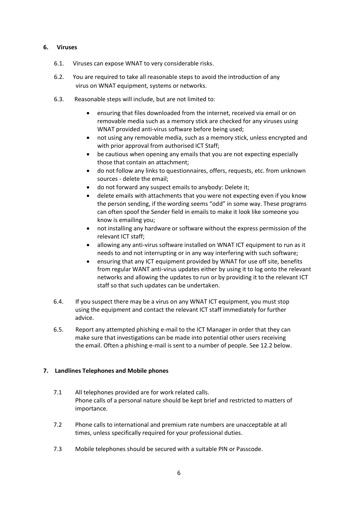## **6. Viruses**

- 6.1. Viruses can expose WNAT to very considerable risks.
- 6.2. You are required to take all reasonable steps to avoid the introduction of any virus on WNAT equipment, systems or networks.
- 6.3. Reasonable steps will include, but are not limited to:
	- ensuring that files downloaded from the internet, received via email or on removable media such as a memory stick are checked for any viruses using WNAT provided anti-virus software before being used;
	- not using any removable media, such as a memory stick, unless encrypted and with prior approval from authorised ICT Staff;
	- be cautious when opening any emails that you are not expecting especially those that contain an attachment;
	- do not follow any links to questionnaires, offers, requests, etc. from unknown sources - delete the email;
	- do not forward any suspect emails to anybody: Delete it;
	- delete emails with attachments that you were not expecting even if you know the person sending, if the wording seems "odd" in some way. These programs can often spoof the Sender field in emails to make it look like someone you know is emailing you;
	- not installing any hardware or software without the express permission of the relevant ICT staff;
	- allowing any anti-virus software installed on WNAT ICT equipment to run as it needs to and not interrupting or in any way interfering with such software;
	- ensuring that any ICT equipment provided by WNAT for use off site, benefits from regular WANT anti-virus updates either by using it to log onto the relevant networks and allowing the updates to run or by providing it to the relevant ICT staff so that such updates can be undertaken.
- 6.4. If you suspect there may be a virus on any WNAT ICT equipment, you must stop using the equipment and contact the relevant ICT staff immediately for further advice.
- 6.5. Report any attempted phishing e-mail to the ICT Manager in order that they can make sure that investigations can be made into potential other users receiving the email. Often a phishing e-mail is sent to a number of people. See 12.2 below.

# **7. Landlines Telephones and Mobile phones**

- 7.1 All telephones provided are for work related calls. Phone calls of a personal nature should be kept brief and restricted to matters of importance.
- 7.2 Phone calls to international and premium rate numbers are unacceptable at all times, unless specifically required for your professional duties.
- 7.3 Mobile telephones should be secured with a suitable PIN or Passcode.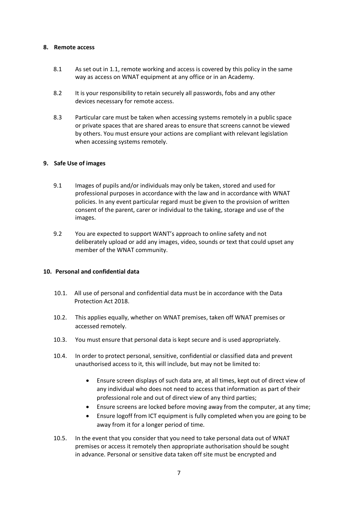#### **8. Remote access**

- 8.1 As set out in 1.1, remote working and access is covered by this policy in the same way as access on WNAT equipment at any office or in an Academy.
- 8.2 It is your responsibility to retain securely all passwords, fobs and any other devices necessary for remote access.
- 8.3 Particular care must be taken when accessing systems remotely in a public space or private spaces that are shared areas to ensure that screens cannot be viewed by others. You must ensure your actions are compliant with relevant legislation when accessing systems remotely.

### **9. Safe Use of images**

- 9.1 Images of pupils and/or individuals may only be taken, stored and used for professional purposes in accordance with the law and in accordance with WNAT policies. In any event particular regard must be given to the provision of written consent of the parent, carer or individual to the taking, storage and use of the images.
- 9.2 You are expected to support WANT's approach to online safety and not deliberately upload or add any images, video, sounds or text that could upset any member of the WNAT community.

### **10. Personal and confidential data**

- 10.1. All use of personal and confidential data must be in accordance with the Data Protection Act 2018.
- 10.2. This applies equally, whether on WNAT premises, taken off WNAT premises or accessed remotely.
- 10.3. You must ensure that personal data is kept secure and is used appropriately.
- 10.4. In order to protect personal, sensitive, confidential or classified data and prevent unauthorised access to it, this will include, but may not be limited to:
	- Ensure screen displays of such data are, at all times, kept out of direct view of any individual who does not need to access that information as part of their professional role and out of direct view of any third parties;
	- Ensure screens are locked before moving away from the computer, at any time;
	- Ensure logoff from ICT equipment is fully completed when you are going to be away from it for a longer period of time.
- 10.5. In the event that you consider that you need to take personal data out of WNAT premises or access it remotely then appropriate authorisation should be sought in advance. Personal or sensitive data taken off site must be encrypted and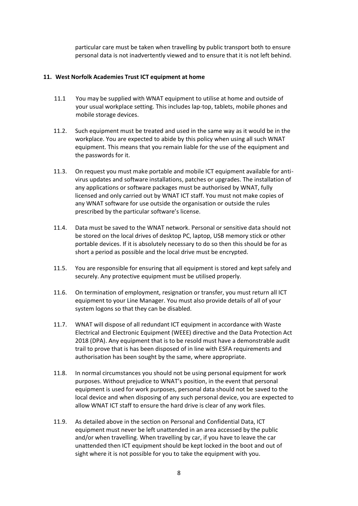particular care must be taken when travelling by public transport both to ensure personal data is not inadvertently viewed and to ensure that it is not left behind.

#### **11. West Norfolk Academies Trust ICT equipment at home**

- 11.1 You may be supplied with WNAT equipment to utilise at home and outside of your usual workplace setting. This includes lap-top, tablets, mobile phones and mobile storage devices.
- 11.2. Such equipment must be treated and used in the same way as it would be in the workplace. You are expected to abide by this policy when using all such WNAT equipment. This means that you remain liable for the use of the equipment and the passwords for it.
- 11.3. On request you must make portable and mobile ICT equipment available for antivirus updates and software installations, patches or upgrades. The installation of any applications or software packages must be authorised by WNAT, fully licensed and only carried out by WNAT ICT staff. You must not make copies of any WNAT software for use outside the organisation or outside the rules prescribed by the particular software's license.
- 11.4. Data must be saved to the WNAT network. Personal or sensitive data should not be stored on the local drives of desktop PC, laptop, USB memory stick or other portable devices. If it is absolutely necessary to do so then this should be for as short a period as possible and the local drive must be encrypted.
- 11.5. You are responsible for ensuring that all equipment is stored and kept safely and securely. Any protective equipment must be utilised properly.
- 11.6. On termination of employment, resignation or transfer, you must return all ICT equipment to your Line Manager. You must also provide details of all of your system logons so that they can be disabled.
- 11.7. WNAT will dispose of all redundant ICT equipment in accordance with Waste Electrical and Electronic Equipment (WEEE) directive and the Data Protection Act 2018 (DPA). Any equipment that is to be resold must have a demonstrable audit trail to prove that is has been disposed of in line with ESFA requirements and authorisation has been sought by the same, where appropriate.
- 11.8. In normal circumstances you should not be using personal equipment for work purposes. Without prejudice to WNAT's position, in the event that personal equipment is used for work purposes, personal data should not be saved to the local device and when disposing of any such personal device, you are expected to allow WNAT ICT staff to ensure the hard drive is clear of any work files.
- 11.9. As detailed above in the section on Personal and Confidential Data, ICT equipment must never be left unattended in an area accessed by the public and/or when travelling. When travelling by car, if you have to leave the car unattended then ICT equipment should be kept locked in the boot and out of sight where it is not possible for you to take the equipment with you.